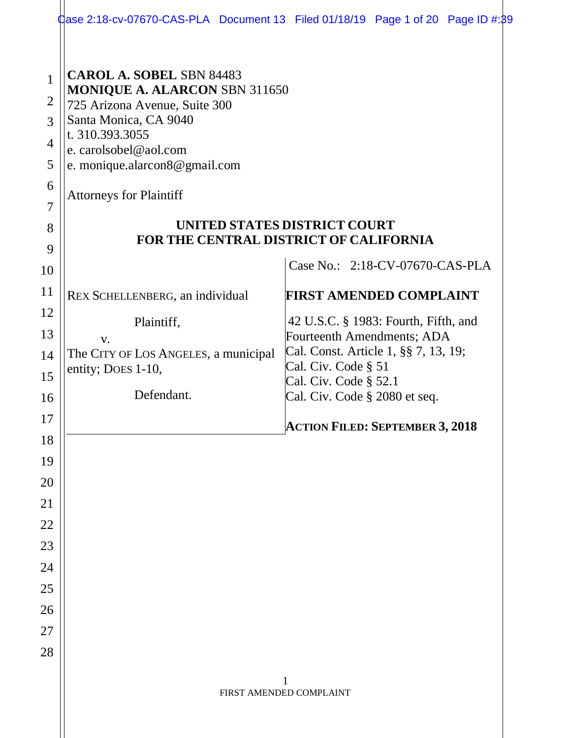|                                                                                        | $\frac{1}{2}$ ase 2:18-cv-07670-CAS-PLA Document 13 Filed 01/18/19 Page 1 of 20 Page ID #:89                                                                                                                                                                                                                               |  |                                                                                                                                                                                             |  |  |  |  |  |  |  |
|----------------------------------------------------------------------------------------|----------------------------------------------------------------------------------------------------------------------------------------------------------------------------------------------------------------------------------------------------------------------------------------------------------------------------|--|---------------------------------------------------------------------------------------------------------------------------------------------------------------------------------------------|--|--|--|--|--|--|--|
| $\mathbf{1}$<br>$\overline{2}$<br>3<br>$\overline{4}$<br>5<br>6<br>$\overline{7}$<br>8 | <b>CAROL A. SOBEL SBN 84483</b><br><b>MONIQUE A. ALARCON SBN 311650</b><br>725 Arizona Avenue, Suite 300<br>Santa Monica, CA 9040<br>t. 310.393.3055<br>e. carolsobel@aol.com<br>e. monique.alarcon8@gmail.com<br><b>Attorneys for Plaintiff</b><br>UNITED STATES DISTRICT COURT<br>FOR THE CENTRAL DISTRICT OF CALIFORNIA |  |                                                                                                                                                                                             |  |  |  |  |  |  |  |
| 9<br>10                                                                                |                                                                                                                                                                                                                                                                                                                            |  | Case No.: 2:18-CV-07670-CAS-PLA                                                                                                                                                             |  |  |  |  |  |  |  |
| 11                                                                                     | REX SCHELLENBERG, an individual                                                                                                                                                                                                                                                                                            |  | <b>FIRST AMENDED COMPLAINT</b>                                                                                                                                                              |  |  |  |  |  |  |  |
| 12<br>13<br>14<br>15<br>16                                                             | Plaintiff,<br>V.<br>The CITY OF LOS ANGELES, a municipal<br>entity; Does 1-10,<br>Defendant.                                                                                                                                                                                                                               |  | 42 U.S.C. § 1983: Fourth, Fifth, and<br>Fourteenth Amendments; ADA<br>Cal. Const. Article 1, §§ 7, 13, 19;<br>Cal. Civ. Code § 51<br>Cal. Civ. Code § 52.1<br>Cal. Civ. Code § 2080 et seq. |  |  |  |  |  |  |  |
| 17                                                                                     |                                                                                                                                                                                                                                                                                                                            |  | <b>ACTION FILED: SEPTEMBER 3, 2018</b>                                                                                                                                                      |  |  |  |  |  |  |  |
| 18                                                                                     |                                                                                                                                                                                                                                                                                                                            |  |                                                                                                                                                                                             |  |  |  |  |  |  |  |
| 19<br>20                                                                               |                                                                                                                                                                                                                                                                                                                            |  |                                                                                                                                                                                             |  |  |  |  |  |  |  |
| 21                                                                                     |                                                                                                                                                                                                                                                                                                                            |  |                                                                                                                                                                                             |  |  |  |  |  |  |  |
| 22                                                                                     |                                                                                                                                                                                                                                                                                                                            |  |                                                                                                                                                                                             |  |  |  |  |  |  |  |
| 23                                                                                     |                                                                                                                                                                                                                                                                                                                            |  |                                                                                                                                                                                             |  |  |  |  |  |  |  |
| 24                                                                                     |                                                                                                                                                                                                                                                                                                                            |  |                                                                                                                                                                                             |  |  |  |  |  |  |  |
| 25                                                                                     |                                                                                                                                                                                                                                                                                                                            |  |                                                                                                                                                                                             |  |  |  |  |  |  |  |
| 26                                                                                     |                                                                                                                                                                                                                                                                                                                            |  |                                                                                                                                                                                             |  |  |  |  |  |  |  |
| 27                                                                                     |                                                                                                                                                                                                                                                                                                                            |  |                                                                                                                                                                                             |  |  |  |  |  |  |  |
| 28                                                                                     |                                                                                                                                                                                                                                                                                                                            |  |                                                                                                                                                                                             |  |  |  |  |  |  |  |
|                                                                                        | 1<br>FIRST AMENDED COMPLAINT                                                                                                                                                                                                                                                                                               |  |                                                                                                                                                                                             |  |  |  |  |  |  |  |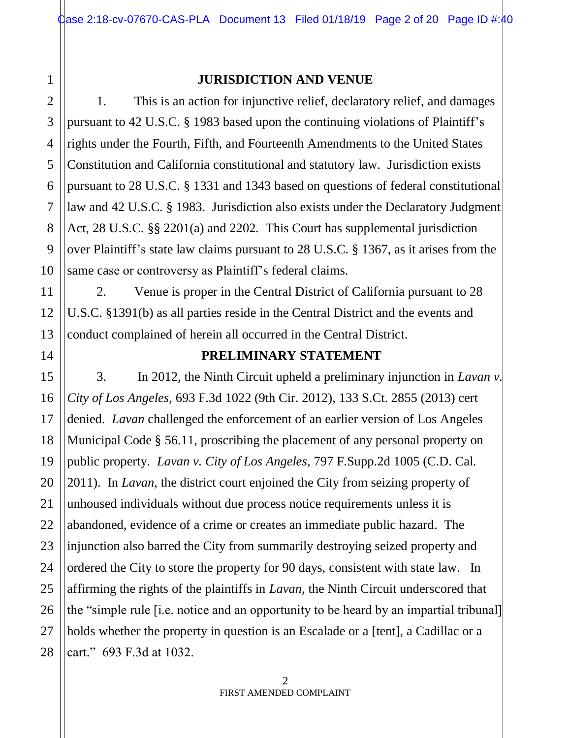# 1 2 3 4

5

6

7

8

9

10

11

12

13

14

15

16

17

18

19

20

21

22

23

24

25

26

27

28

# **JURISDICTION AND VENUE**

1. This is an action for injunctive relief, declaratory relief, and damages pursuant to 42 U.S.C. § 1983 based upon the continuing violations of Plaintiff's rights under the Fourth, Fifth, and Fourteenth Amendments to the United States Constitution and California constitutional and statutory law. Jurisdiction exists pursuant to 28 U.S.C. § 1331 and 1343 based on questions of federal constitutional law and 42 U.S.C. § 1983. Jurisdiction also exists under the Declaratory Judgment Act, 28 U.S.C. §§ 2201(a) and 2202. This Court has supplemental jurisdiction over Plaintiff's state law claims pursuant to 28 U.S.C. § 1367, as it arises from the same case or controversy as Plaintiff's federal claims.

2. Venue is proper in the Central District of California pursuant to 28 U.S.C. §1391(b) as all parties reside in the Central District and the events and conduct complained of herein all occurred in the Central District.

#### **PRELIMINARY STATEMENT**

3. In 2012, the Ninth Circuit upheld a preliminary injunction in *Lavan v. City of Los Angeles*, 693 F.3d 1022 (9th Cir. 2012), 133 S.Ct. 2855 (2013) cert denied. *Lavan* challenged the enforcement of an earlier version of Los Angeles Municipal Code § 56.11, proscribing the placement of any personal property on public property. *Lavan v. City of Los Angeles*, 797 F.Supp.2d 1005 (C.D. Cal. 2011). In *Lavan*, the district court enjoined the City from seizing property of unhoused individuals without due process notice requirements unless it is abandoned, evidence of a crime or creates an immediate public hazard. The injunction also barred the City from summarily destroying seized property and ordered the City to store the property for 90 days, consistent with state law. In affirming the rights of the plaintiffs in *Lavan*, the Ninth Circuit underscored that the "simple rule [i.e. notice and an opportunity to be heard by an impartial tribunal] holds whether the property in question is an Escalade or a [tent], a Cadillac or a cart." 693 F.3d at 1032.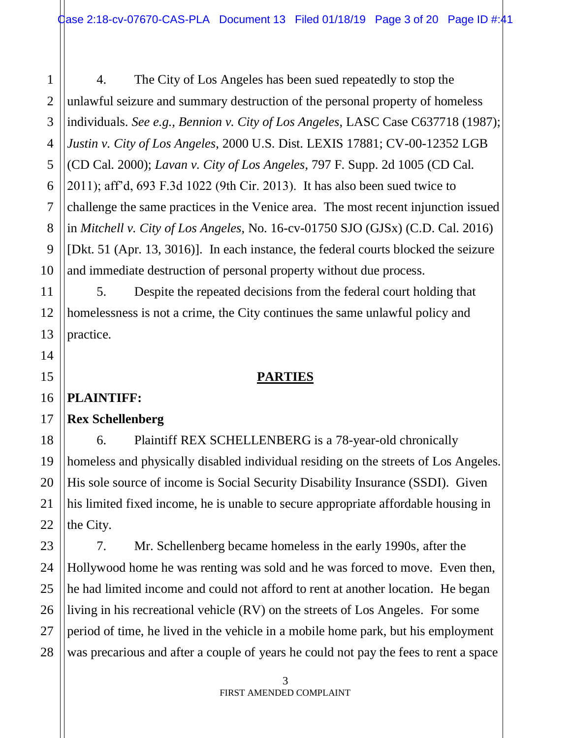4. The City of Los Angeles has been sued repeatedly to stop the unlawful seizure and summary destruction of the personal property of homeless individuals. *See e.g., Bennion v. City of Los Angeles*, LASC Case C637718 (1987); *Justin v. City of Los Angeles*, 2000 U.S. Dist. LEXIS 17881; CV-00-12352 LGB (CD Cal. 2000); *Lavan v. City of Los Angeles*, 797 F. Supp. 2d 1005 (CD Cal. 2011); aff'd, 693 F.3d 1022 (9th Cir. 2013). It has also been sued twice to challenge the same practices in the Venice area. The most recent injunction issued in *Mitchell v. City of Los Angeles*, No. 16-cv-01750 SJO (GJSx) (C.D. Cal. 2016) [Dkt. 51 (Apr. 13, 3016)]. In each instance, the federal courts blocked the seizure and immediate destruction of personal property without due process.

5. Despite the repeated decisions from the federal court holding that homelessness is not a crime, the City continues the same unlawful policy and practice.

# **PARTIES**

### **PLAINTIFF:**

# **Rex Schellenberg**

6. Plaintiff REX SCHELLENBERG is a 78-year-old chronically homeless and physically disabled individual residing on the streets of Los Angeles. His sole source of income is Social Security Disability Insurance (SSDI). Given his limited fixed income, he is unable to secure appropriate affordable housing in the City.

7. Mr. Schellenberg became homeless in the early 1990s, after the Hollywood home he was renting was sold and he was forced to move. Even then, he had limited income and could not afford to rent at another location. He began living in his recreational vehicle (RV) on the streets of Los Angeles. For some period of time, he lived in the vehicle in a mobile home park, but his employment was precarious and after a couple of years he could not pay the fees to rent a space

1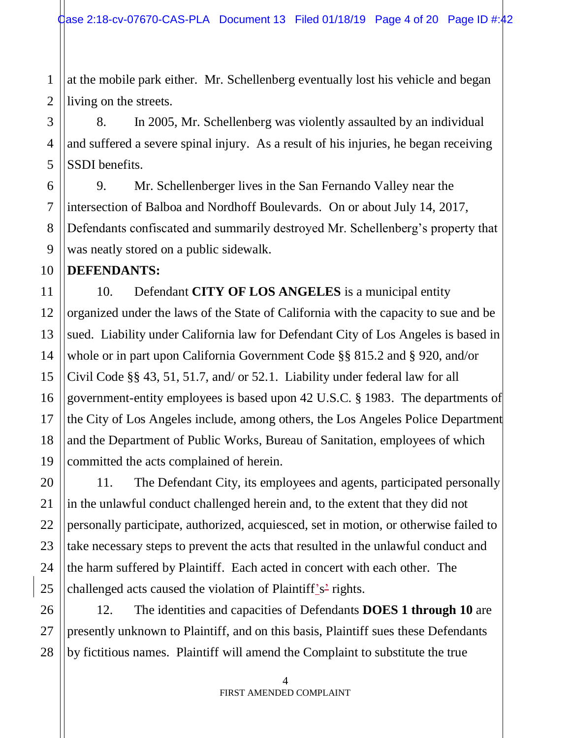1 at the mobile park either. Mr. Schellenberg eventually lost his vehicle and began living on the streets.

8. In 2005, Mr. Schellenberg was violently assaulted by an individual and suffered a severe spinal injury. As a result of his injuries, he began receiving SSDI benefits.

9. Mr. Schellenberger lives in the San Fernando Valley near the intersection of Balboa and Nordhoff Boulevards. On or about July 14, 2017, Defendants confiscated and summarily destroyed Mr. Schellenberg's property that was neatly stored on a public sidewalk.

### **DEFENDANTS:**

10. Defendant **CITY OF LOS ANGELES** is a municipal entity organized under the laws of the State of California with the capacity to sue and be sued. Liability under California law for Defendant City of Los Angeles is based in whole or in part upon California Government Code §§ 815.2 and § 920, and/or Civil Code §§ 43, 51, 51.7, and/ or 52.1. Liability under federal law for all government-entity employees is based upon 42 U.S.C. § 1983. The departments of the City of Los Angeles include, among others, the Los Angeles Police Department and the Department of Public Works, Bureau of Sanitation, employees of which committed the acts complained of herein.

11. The Defendant City, its employees and agents, participated personally in the unlawful conduct challenged herein and, to the extent that they did not personally participate, authorized, acquiesced, set in motion, or otherwise failed to take necessary steps to prevent the acts that resulted in the unlawful conduct and the harm suffered by Plaintiff. Each acted in concert with each other. The challenged acts caused the violation of Plaintiff's<sup>2</sup> rights.

12. The identities and capacities of Defendants **DOES 1 through 10** are presently unknown to Plaintiff, and on this basis, Plaintiff sues these Defendants by fictitious names. Plaintiff will amend the Complaint to substitute the true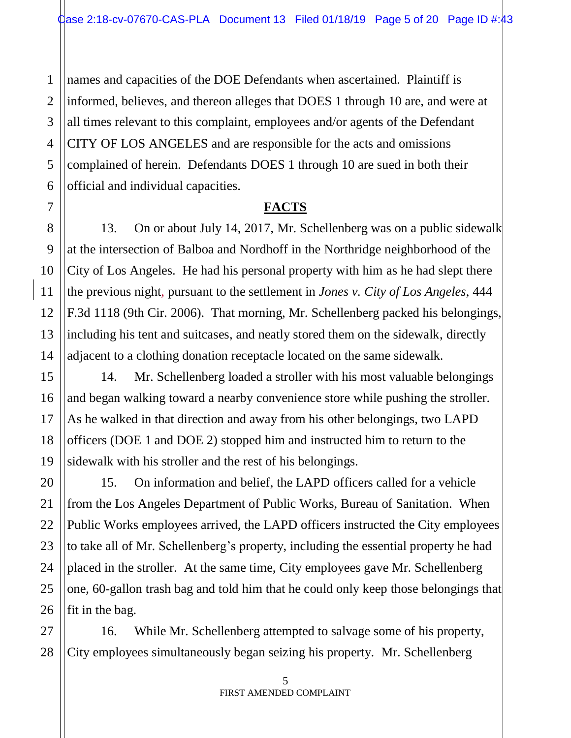names and capacities of the DOE Defendants when ascertained. Plaintiff is informed, believes, and thereon alleges that DOES 1 through 10 are, and were at all times relevant to this complaint, employees and/or agents of the Defendant CITY OF LOS ANGELES and are responsible for the acts and omissions complained of herein. Defendants DOES 1 through 10 are sued in both their official and individual capacities.

### **FACTS**

13. On or about July 14, 2017, Mr. Schellenberg was on a public sidewalk at the intersection of Balboa and Nordhoff in the Northridge neighborhood of the City of Los Angeles. He had his personal property with him as he had slept there the previous night, pursuant to the settlement in *Jones v. City of Los Angeles*, 444 F.3d 1118 (9th Cir. 2006). That morning, Mr. Schellenberg packed his belongings, including his tent and suitcases, and neatly stored them on the sidewalk, directly adjacent to a clothing donation receptacle located on the same sidewalk.

14. Mr. Schellenberg loaded a stroller with his most valuable belongings and began walking toward a nearby convenience store while pushing the stroller. As he walked in that direction and away from his other belongings, two LAPD officers (DOE 1 and DOE 2) stopped him and instructed him to return to the sidewalk with his stroller and the rest of his belongings.

15. On information and belief, the LAPD officers called for a vehicle from the Los Angeles Department of Public Works, Bureau of Sanitation. When Public Works employees arrived, the LAPD officers instructed the City employees to take all of Mr. Schellenberg's property, including the essential property he had placed in the stroller. At the same time, City employees gave Mr. Schellenberg one, 60-gallon trash bag and told him that he could only keep those belongings that fit in the bag.

16. While Mr. Schellenberg attempted to salvage some of his property, City employees simultaneously began seizing his property. Mr. Schellenberg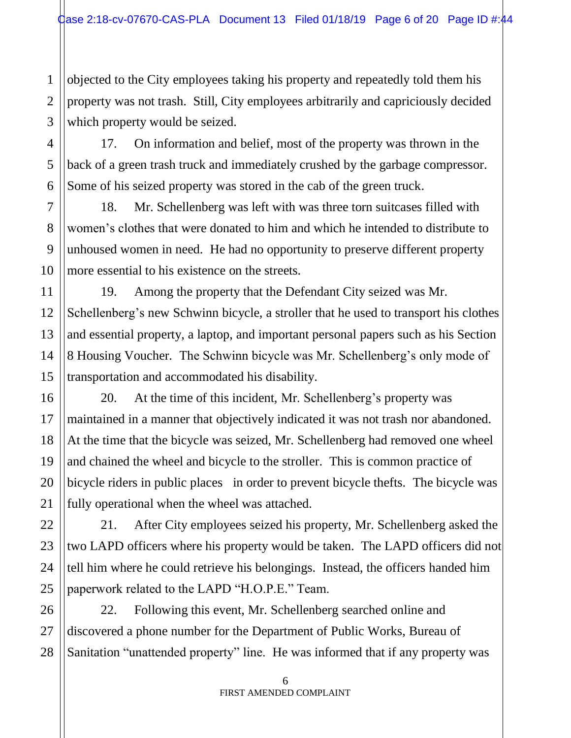1 objected to the City employees taking his property and repeatedly told them his property was not trash. Still, City employees arbitrarily and capriciously decided which property would be seized.

17. On information and belief, most of the property was thrown in the back of a green trash truck and immediately crushed by the garbage compressor. Some of his seized property was stored in the cab of the green truck.

18. Mr. Schellenberg was left with was three torn suitcases filled with women's clothes that were donated to him and which he intended to distribute to unhoused women in need. He had no opportunity to preserve different property more essential to his existence on the streets.

19. Among the property that the Defendant City seized was Mr. Schellenberg's new Schwinn bicycle, a stroller that he used to transport his clothes and essential property, a laptop, and important personal papers such as his Section 8 Housing Voucher. The Schwinn bicycle was Mr. Schellenberg's only mode of transportation and accommodated his disability.

20. At the time of this incident, Mr. Schellenberg's property was maintained in a manner that objectively indicated it was not trash nor abandoned. At the time that the bicycle was seized, Mr. Schellenberg had removed one wheel and chained the wheel and bicycle to the stroller. This is common practice of bicycle riders in public places in order to prevent bicycle thefts. The bicycle was fully operational when the wheel was attached.

21. After City employees seized his property, Mr. Schellenberg asked the two LAPD officers where his property would be taken. The LAPD officers did not tell him where he could retrieve his belongings. Instead, the officers handed him paperwork related to the LAPD "H.O.P.E." Team.

22. Following this event, Mr. Schellenberg searched online and discovered a phone number for the Department of Public Works, Bureau of Sanitation "unattended property" line. He was informed that if any property was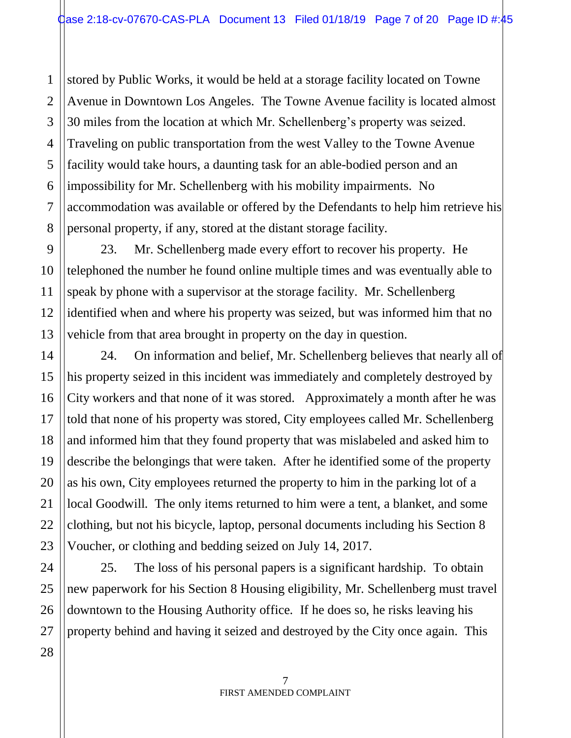1 stored by Public Works, it would be held at a storage facility located on Towne Avenue in Downtown Los Angeles. The Towne Avenue facility is located almost 30 miles from the location at which Mr. Schellenberg's property was seized. Traveling on public transportation from the west Valley to the Towne Avenue facility would take hours, a daunting task for an able-bodied person and an impossibility for Mr. Schellenberg with his mobility impairments. No accommodation was available or offered by the Defendants to help him retrieve his personal property, if any, stored at the distant storage facility.

23. Mr. Schellenberg made every effort to recover his property. He telephoned the number he found online multiple times and was eventually able to speak by phone with a supervisor at the storage facility. Mr. Schellenberg identified when and where his property was seized, but was informed him that no vehicle from that area brought in property on the day in question.

24. On information and belief, Mr. Schellenberg believes that nearly all of his property seized in this incident was immediately and completely destroyed by City workers and that none of it was stored. Approximately a month after he was told that none of his property was stored, City employees called Mr. Schellenberg and informed him that they found property that was mislabeled and asked him to describe the belongings that were taken. After he identified some of the property as his own, City employees returned the property to him in the parking lot of a local Goodwill. The only items returned to him were a tent, a blanket, and some clothing, but not his bicycle, laptop, personal documents including his Section 8 Voucher, or clothing and bedding seized on July 14, 2017.

25. The loss of his personal papers is a significant hardship. To obtain new paperwork for his Section 8 Housing eligibility, Mr. Schellenberg must travel downtown to the Housing Authority office. If he does so, he risks leaving his property behind and having it seized and destroyed by the City once again. This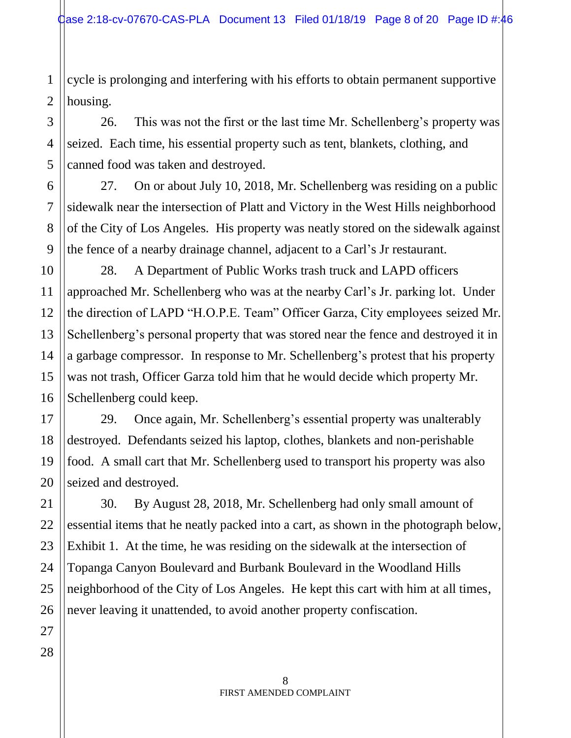1 cycle is prolonging and interfering with his efforts to obtain permanent supportive housing.

26. This was not the first or the last time Mr. Schellenberg's property was seized. Each time, his essential property such as tent, blankets, clothing, and canned food was taken and destroyed.

27. On or about July 10, 2018, Mr. Schellenberg was residing on a public sidewalk near the intersection of Platt and Victory in the West Hills neighborhood of the City of Los Angeles. His property was neatly stored on the sidewalk against the fence of a nearby drainage channel, adjacent to a Carl's Jr restaurant.

28. A Department of Public Works trash truck and LAPD officers approached Mr. Schellenberg who was at the nearby Carl's Jr. parking lot. Under the direction of LAPD "H.O.P.E. Team" Officer Garza, City employees seized Mr. Schellenberg's personal property that was stored near the fence and destroyed it in a garbage compressor. In response to Mr. Schellenberg's protest that his property was not trash, Officer Garza told him that he would decide which property Mr. Schellenberg could keep.

29. Once again, Mr. Schellenberg's essential property was unalterably destroyed. Defendants seized his laptop, clothes, blankets and non-perishable food. A small cart that Mr. Schellenberg used to transport his property was also seized and destroyed.

30. By August 28, 2018, Mr. Schellenberg had only small amount of essential items that he neatly packed into a cart, as shown in the photograph below, Exhibit 1. At the time, he was residing on the sidewalk at the intersection of Topanga Canyon Boulevard and Burbank Boulevard in the Woodland Hills neighborhood of the City of Los Angeles. He kept this cart with him at all times, never leaving it unattended, to avoid another property confiscation.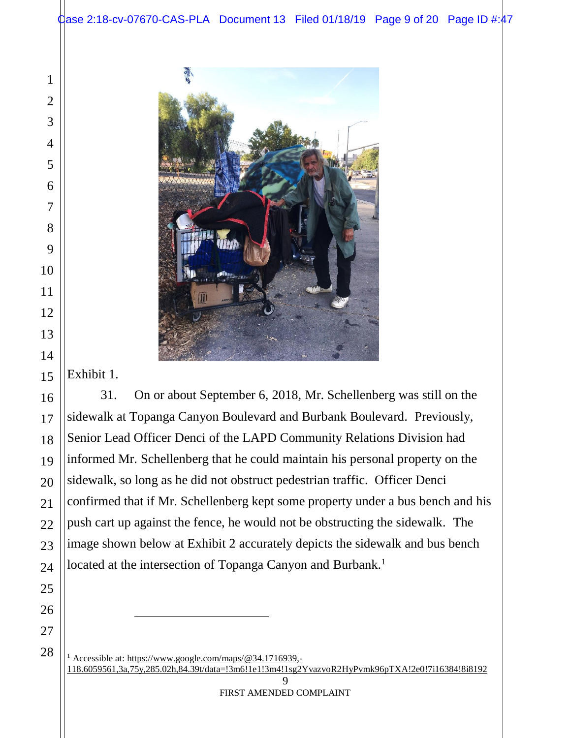

Exhibit 1.

 $\overline{a}$ 

31. On or about September 6, 2018, Mr. Schellenberg was still on the sidewalk at Topanga Canyon Boulevard and Burbank Boulevard. Previously, Senior Lead Officer Denci of the LAPD Community Relations Division had informed Mr. Schellenberg that he could maintain his personal property on the sidewalk, so long as he did not obstruct pedestrian traffic. Officer Denci confirmed that if Mr. Schellenberg kept some property under a bus bench and his push cart up against the fence, he would not be obstructing the sidewalk. The image shown below at Exhibit 2 accurately depicts the sidewalk and bus bench located at the intersection of Topanga Canyon and Burbank.<sup>1</sup>

<sup>1</sup> Accessible at: [https://www.google.com/maps/@34.1716939,-](https://www.google.com/maps/@34.1716939,-118.6059561,3a,75y,285.02h,84.39t/data=!3m6!1e1!3m4!1sg2YvazvoR2HyPvmk96pTXA!2e0!7i16384!8i8192) [118.6059561,3a,75y,285.02h,84.39t/data=!3m6!1e1!3m4!1sg2YvazvoR2HyPvmk96pTXA!2e0!7i16384!8i8192](https://www.google.com/maps/@34.1716939,-118.6059561,3a,75y,285.02h,84.39t/data=!3m6!1e1!3m4!1sg2YvazvoR2HyPvmk96pTXA!2e0!7i16384!8i8192)

 $\mathbf Q$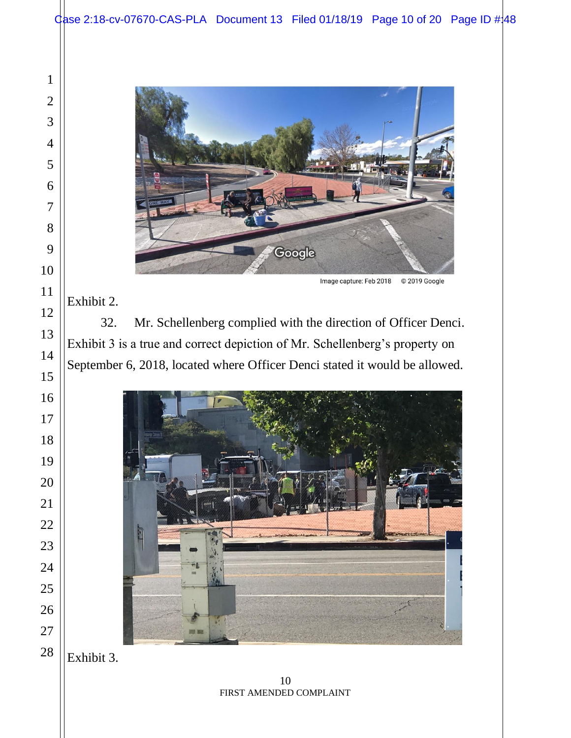

Image capture: Feb 2018 © 2019 Google

### Exhibit 2.

32. Mr. Schellenberg complied with the direction of Officer Denci. Exhibit 3 is a true and correct depiction of Mr. Schellenberg's property on September 6, 2018, located where Officer Denci stated it would be allowed.



Exhibit 3.

 FIRST AMENDED COMPLAINT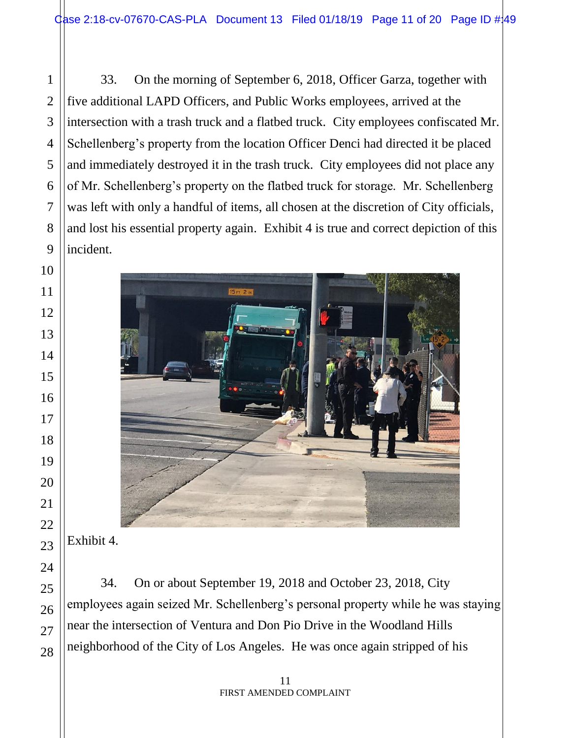33. On the morning of September 6, 2018, Officer Garza, together with five additional LAPD Officers, and Public Works employees, arrived at the intersection with a trash truck and a flatbed truck. City employees confiscated Mr. Schellenberg's property from the location Officer Denci had directed it be placed and immediately destroyed it in the trash truck. City employees did not place any of Mr. Schellenberg's property on the flatbed truck for storage. Mr. Schellenberg was left with only a handful of items, all chosen at the discretion of City officials, and lost his essential property again. Exhibit 4 is true and correct depiction of this incident.



# Exhibit 4.

34. On or about September 19, 2018 and October 23, 2018, City employees again seized Mr. Schellenberg's personal property while he was staying near the intersection of Ventura and Don Pio Drive in the Woodland Hills neighborhood of the City of Los Angeles. He was once again stripped of his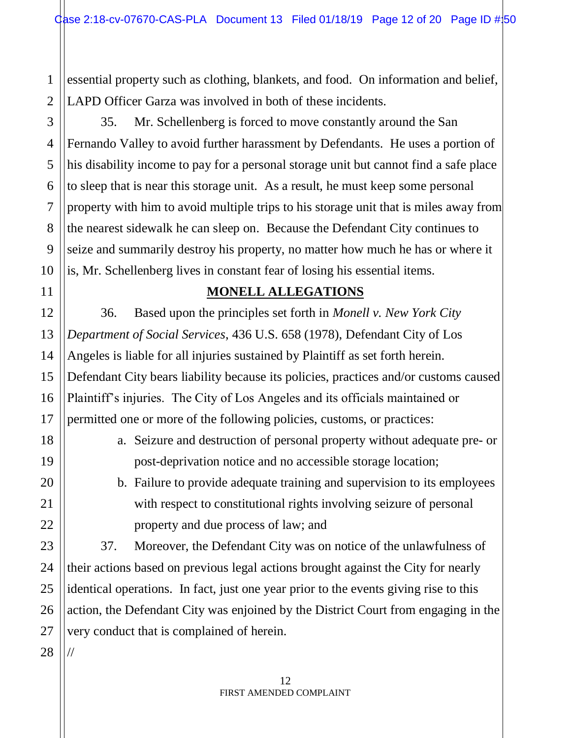essential property such as clothing, blankets, and food. On information and belief, LAPD Officer Garza was involved in both of these incidents.

35. Mr. Schellenberg is forced to move constantly around the San Fernando Valley to avoid further harassment by Defendants. He uses a portion of his disability income to pay for a personal storage unit but cannot find a safe place to sleep that is near this storage unit. As a result, he must keep some personal property with him to avoid multiple trips to his storage unit that is miles away from the nearest sidewalk he can sleep on. Because the Defendant City continues to seize and summarily destroy his property, no matter how much he has or where it is, Mr. Schellenberg lives in constant fear of losing his essential items.

### **MONELL ALLEGATIONS**

36. Based upon the principles set forth in *Monell v. New York City Department of Social Services*, 436 U.S. 658 (1978), Defendant City of Los Angeles is liable for all injuries sustained by Plaintiff as set forth herein. Defendant City bears liability because its policies, practices and/or customs caused Plaintiff's injuries. The City of Los Angeles and its officials maintained or permitted one or more of the following policies, customs, or practices:

- a. Seizure and destruction of personal property without adequate pre- or post-deprivation notice and no accessible storage location;
- b. Failure to provide adequate training and supervision to its employees with respect to constitutional rights involving seizure of personal property and due process of law; and

37. Moreover, the Defendant City was on notice of the unlawfulness of their actions based on previous legal actions brought against the City for nearly identical operations. In fact, just one year prior to the events giving rise to this action, the Defendant City was enjoined by the District Court from engaging in the very conduct that is complained of herein.

//

1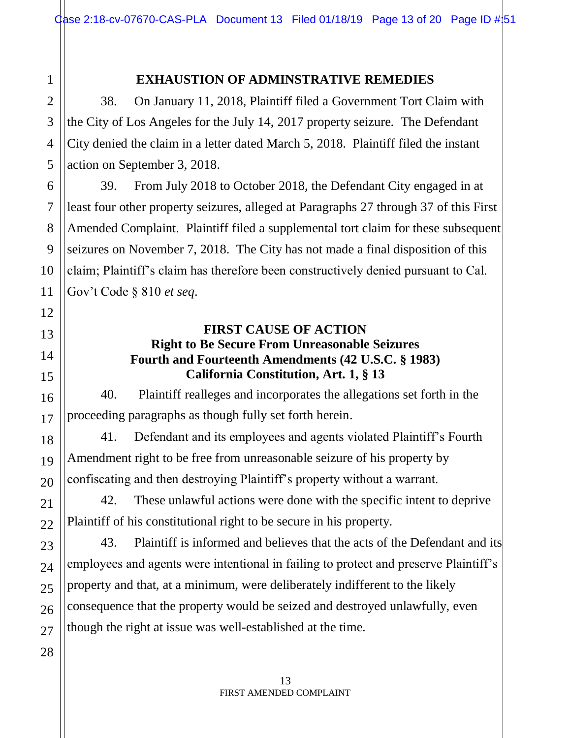#### **EXHAUSTION OF ADMINSTRATIVE REMEDIES**

38. On January 11, 2018, Plaintiff filed a Government Tort Claim with the City of Los Angeles for the July 14, 2017 property seizure. The Defendant City denied the claim in a letter dated March 5, 2018. Plaintiff filed the instant action on September 3, 2018.

39. From July 2018 to October 2018, the Defendant City engaged in at least four other property seizures, alleged at Paragraphs 27 through 37 of this First Amended Complaint. Plaintiff filed a supplemental tort claim for these subsequent seizures on November 7, 2018. The City has not made a final disposition of this claim; Plaintiff's claim has therefore been constructively denied pursuant to Cal. Gov't Code § 810 *et seq*.

#### **FIRST CAUSE OF ACTION Right to Be Secure From Unreasonable Seizures Fourth and Fourteenth Amendments (42 U.S.C. § 1983) California Constitution, Art. 1, § 13**

40. Plaintiff realleges and incorporates the allegations set forth in the proceeding paragraphs as though fully set forth herein.

41. Defendant and its employees and agents violated Plaintiff's Fourth Amendment right to be free from unreasonable seizure of his property by confiscating and then destroying Plaintiff's property without a warrant.

42. These unlawful actions were done with the specific intent to deprive Plaintiff of his constitutional right to be secure in his property.

43. Plaintiff is informed and believes that the acts of the Defendant and its employees and agents were intentional in failing to protect and preserve Plaintiff's property and that, at a minimum, were deliberately indifferent to the likely consequence that the property would be seized and destroyed unlawfully, even though the right at issue was well-established at the time.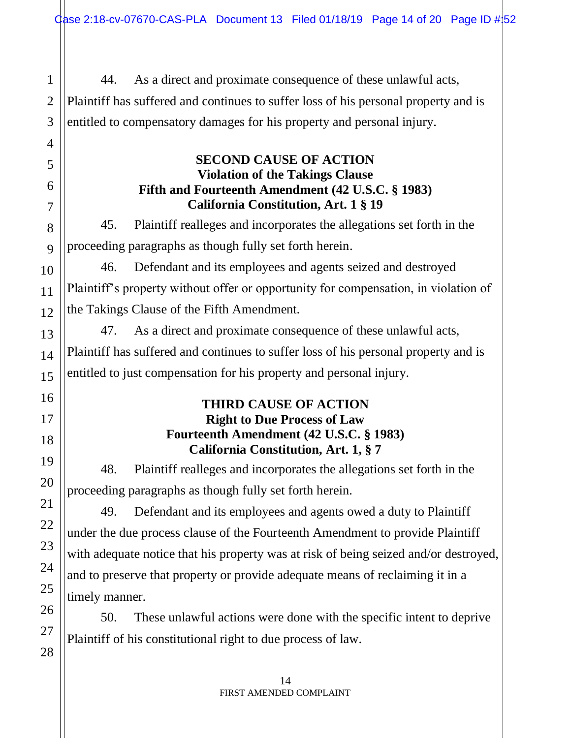44. As a direct and proximate consequence of these unlawful acts, Plaintiff has suffered and continues to suffer loss of his personal property and is entitled to compensatory damages for his property and personal injury.

# **SECOND CAUSE OF ACTION Violation of the Takings Clause Fifth and Fourteenth Amendment (42 U.S.C. § 1983) California Constitution, Art. 1 § 19**

45. Plaintiff realleges and incorporates the allegations set forth in the proceeding paragraphs as though fully set forth herein.

46. Defendant and its employees and agents seized and destroyed Plaintiff's property without offer or opportunity for compensation, in violation of the Takings Clause of the Fifth Amendment.

47. As a direct and proximate consequence of these unlawful acts, Plaintiff has suffered and continues to suffer loss of his personal property and is entitled to just compensation for his property and personal injury.

## **THIRD CAUSE OF ACTION Right to Due Process of Law Fourteenth Amendment (42 U.S.C. § 1983) California Constitution, Art. 1, § 7**

48. Plaintiff realleges and incorporates the allegations set forth in the proceeding paragraphs as though fully set forth herein.

49. Defendant and its employees and agents owed a duty to Plaintiff under the due process clause of the Fourteenth Amendment to provide Plaintiff with adequate notice that his property was at risk of being seized and/or destroyed, and to preserve that property or provide adequate means of reclaiming it in a timely manner.

50. These unlawful actions were done with the specific intent to deprive Plaintiff of his constitutional right to due process of law.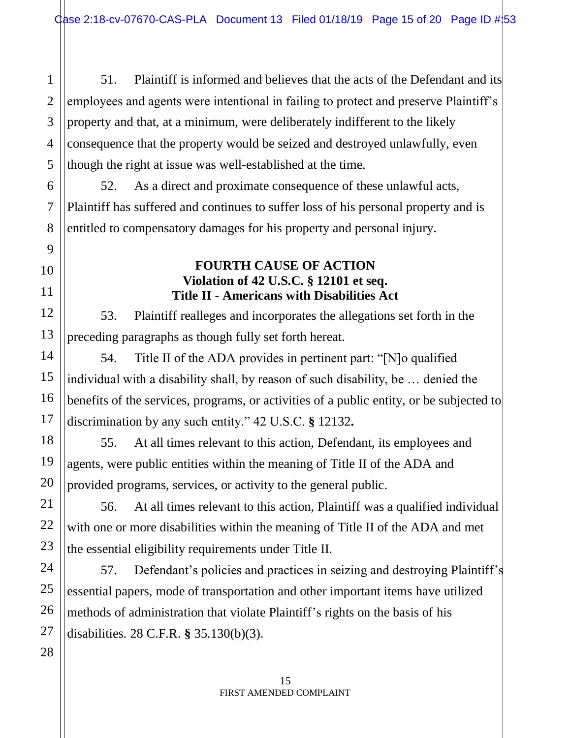51. Plaintiff is informed and believes that the acts of the Defendant and its employees and agents were intentional in failing to protect and preserve Plaintiff's property and that, at a minimum, were deliberately indifferent to the likely consequence that the property would be seized and destroyed unlawfully, even though the right at issue was well-established at the time.

52. As a direct and proximate consequence of these unlawful acts, Plaintiff has suffered and continues to suffer loss of his personal property and is entitled to compensatory damages for his property and personal injury.

# **FOURTH CAUSE OF ACTION Violation of 42 U.S.C. § 12101 et seq. Title II - Americans with Disabilities Act**

53. Plaintiff realleges and incorporates the allegations set forth in the preceding paragraphs as though fully set forth hereat.

54. Title II of the ADA provides in pertinent part: "[N]o qualified individual with a disability shall, by reason of such disability, be … denied the benefits of the services, programs, or activities of a public entity, or be subjected to discrimination by any such entity." 42 U.S.C. **§** 12132**.** 

55. At all times relevant to this action, Defendant, its employees and agents, were public entities within the meaning of Title II of the ADA and provided programs, services, or activity to the general public.

56. At all times relevant to this action, Plaintiff was a qualified individual with one or more disabilities within the meaning of Title II of the ADA and met the essential eligibility requirements under Title II.

57. Defendant's policies and practices in seizing and destroying Plaintiff's essential papers, mode of transportation and other important items have utilized methods of administration that violate Plaintiff's rights on the basis of his disabilities. 28 C.F.R. **§** 35.130(b)(3).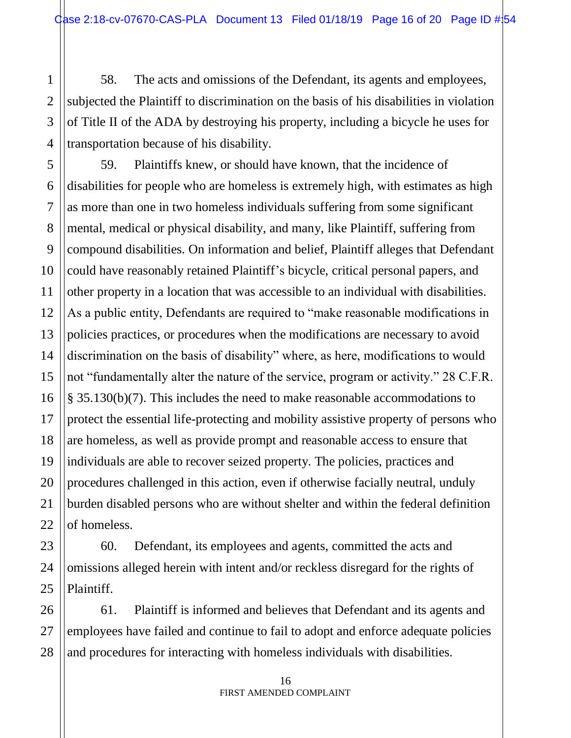58. The acts and omissions of the Defendant, its agents and employees, subjected the Plaintiff to discrimination on the basis of his disabilities in violation of Title II of the ADA by destroying his property, including a bicycle he uses for transportation because of his disability.

59. Plaintiffs knew, or should have known, that the incidence of disabilities for people who are homeless is extremely high, with estimates as high as more than one in two homeless individuals suffering from some significant mental, medical or physical disability, and many, like Plaintiff, suffering from compound disabilities. On information and belief, Plaintiff alleges that Defendant could have reasonably retained Plaintiff's bicycle, critical personal papers, and other property in a location that was accessible to an individual with disabilities. As a public entity, Defendants are required to "make reasonable modifications in policies practices, or procedures when the modifications are necessary to avoid discrimination on the basis of disability" where, as here, modifications to would not "fundamentally alter the nature of the service, program or activity." 28 C.F.R. § 35.130(b)(7). This includes the need to make reasonable accommodations to protect the essential life-protecting and mobility assistive property of persons who are homeless, as well as provide prompt and reasonable access to ensure that individuals are able to recover seized property. The policies, practices and procedures challenged in this action, even if otherwise facially neutral, unduly burden disabled persons who are without shelter and within the federal definition of homeless.

60. Defendant, its employees and agents, committed the acts and omissions alleged herein with intent and/or reckless disregard for the rights of Plaintiff.

61. Plaintiff is informed and believes that Defendant and its agents and employees have failed and continue to fail to adopt and enforce adequate policies and procedures for interacting with homeless individuals with disabilities.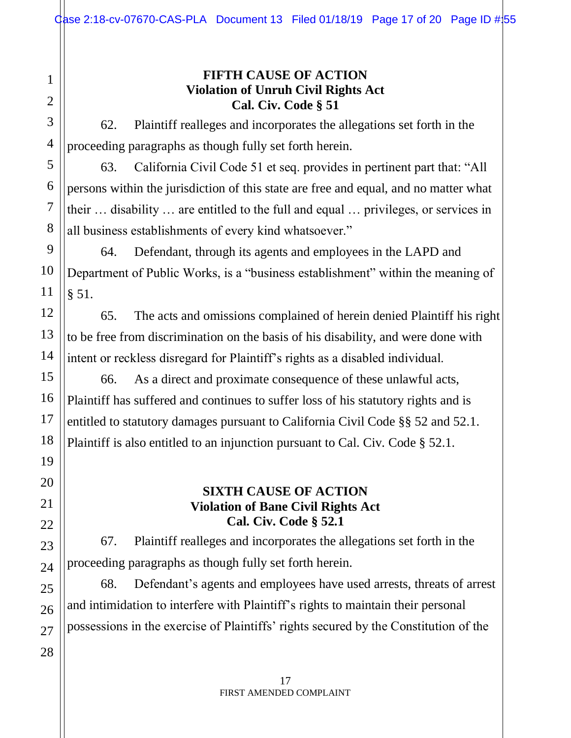## **FIFTH CAUSE OF ACTION Violation of Unruh Civil Rights Act Cal. Civ. Code § 51**

62. Plaintiff realleges and incorporates the allegations set forth in the proceeding paragraphs as though fully set forth herein.

63. California Civil Code 51 et seq. provides in pertinent part that: "All persons within the jurisdiction of this state are free and equal, and no matter what their … disability … are entitled to the full and equal … privileges, or services in all business establishments of every kind whatsoever."

64. Defendant, through its agents and employees in the LAPD and Department of Public Works, is a "business establishment" within the meaning of § 51.

65. The acts and omissions complained of herein denied Plaintiff his right to be free from discrimination on the basis of his disability, and were done with intent or reckless disregard for Plaintiff's rights as a disabled individual.

66. As a direct and proximate consequence of these unlawful acts, Plaintiff has suffered and continues to suffer loss of his statutory rights and is entitled to statutory damages pursuant to California Civil Code §§ 52 and 52.1. Plaintiff is also entitled to an injunction pursuant to Cal. Civ. Code § 52.1.

#### **SIXTH CAUSE OF ACTION Violation of Bane Civil Rights Act Cal. Civ. Code § 52.1**

67. Plaintiff realleges and incorporates the allegations set forth in the proceeding paragraphs as though fully set forth herein.

68. Defendant's agents and employees have used arrests, threats of arrest and intimidation to interfere with Plaintiff's rights to maintain their personal possessions in the exercise of Plaintiffs' rights secured by the Constitution of the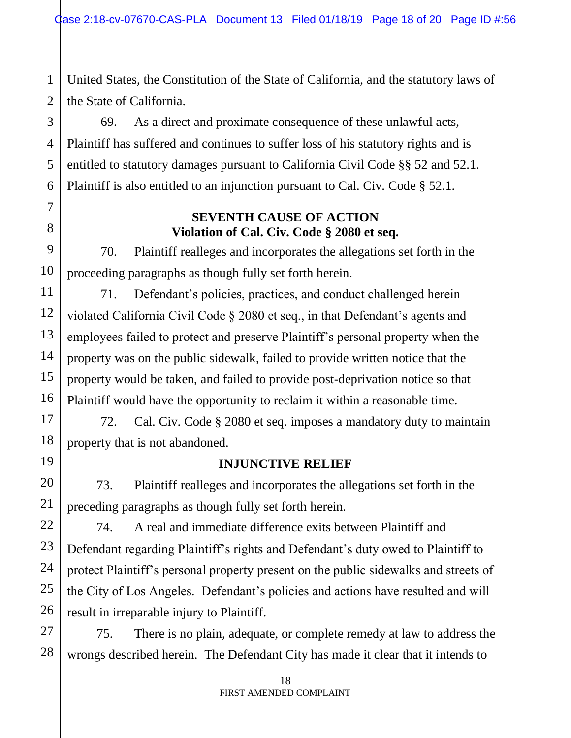United States, the Constitution of the State of California, and the statutory laws of the State of California.

69. As a direct and proximate consequence of these unlawful acts, Plaintiff has suffered and continues to suffer loss of his statutory rights and is entitled to statutory damages pursuant to California Civil Code §§ 52 and 52.1. Plaintiff is also entitled to an injunction pursuant to Cal. Civ. Code § 52.1.

# **SEVENTH CAUSE OF ACTION Violation of Cal. Civ. Code § 2080 et seq.**

70. Plaintiff realleges and incorporates the allegations set forth in the proceeding paragraphs as though fully set forth herein.

71. Defendant's policies, practices, and conduct challenged herein violated California Civil Code § 2080 et seq., in that Defendant's agents and employees failed to protect and preserve Plaintiff's personal property when the property was on the public sidewalk, failed to provide written notice that the property would be taken, and failed to provide post-deprivation notice so that Plaintiff would have the opportunity to reclaim it within a reasonable time.

72. Cal. Civ. Code § 2080 et seq. imposes a mandatory duty to maintain property that is not abandoned.

### **INJUNCTIVE RELIEF**

73. Plaintiff realleges and incorporates the allegations set forth in the preceding paragraphs as though fully set forth herein.

74. A real and immediate difference exits between Plaintiff and Defendant regarding Plaintiff's rights and Defendant's duty owed to Plaintiff to protect Plaintiff's personal property present on the public sidewalks and streets of the City of Los Angeles. Defendant's policies and actions have resulted and will result in irreparable injury to Plaintiff.

75. There is no plain, adequate, or complete remedy at law to address the wrongs described herein. The Defendant City has made it clear that it intends to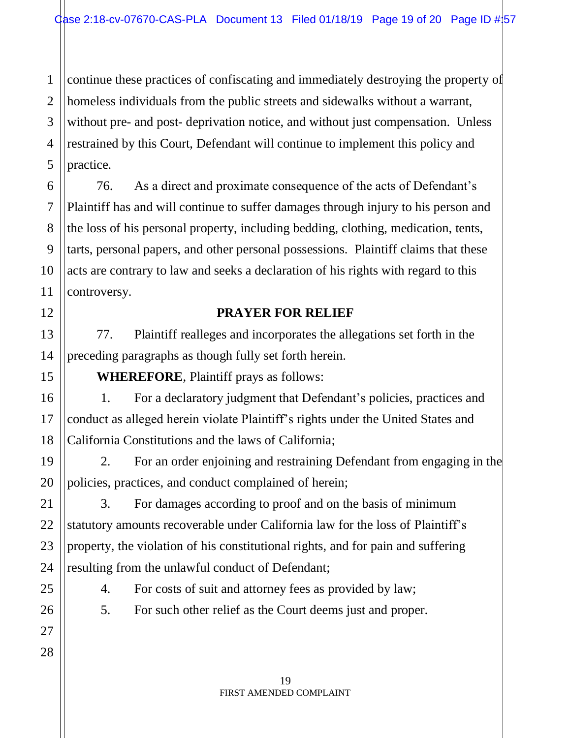continue these practices of confiscating and immediately destroying the property of homeless individuals from the public streets and sidewalks without a warrant, without pre- and post- deprivation notice, and without just compensation. Unless restrained by this Court, Defendant will continue to implement this policy and practice.

76. As a direct and proximate consequence of the acts of Defendant's Plaintiff has and will continue to suffer damages through injury to his person and the loss of his personal property, including bedding, clothing, medication, tents, tarts, personal papers, and other personal possessions. Plaintiff claims that these acts are contrary to law and seeks a declaration of his rights with regard to this controversy.

### **PRAYER FOR RELIEF**

77. Plaintiff realleges and incorporates the allegations set forth in the preceding paragraphs as though fully set forth herein.

**WHEREFORE**, Plaintiff prays as follows:

1. For a declaratory judgment that Defendant's policies, practices and conduct as alleged herein violate Plaintiff's rights under the United States and California Constitutions and the laws of California;

2. For an order enjoining and restraining Defendant from engaging in the policies, practices, and conduct complained of herein;

3. For damages according to proof and on the basis of minimum statutory amounts recoverable under California law for the loss of Plaintiff's property, the violation of his constitutional rights, and for pain and suffering resulting from the unlawful conduct of Defendant;

4. For costs of suit and attorney fees as provided by law;

5. For such other relief as the Court deems just and proper.